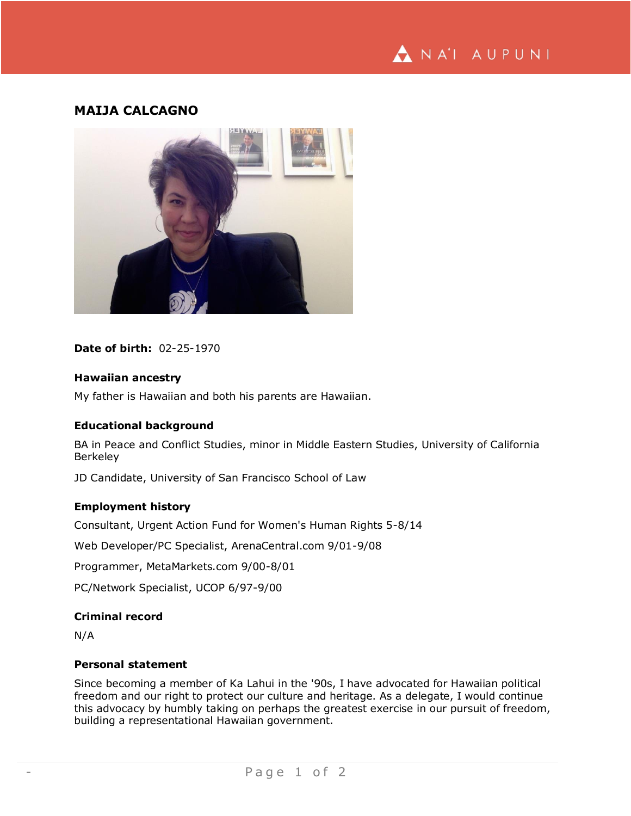# NA'I AUPUNI

# **MAIJA CALCAGNO**



#### **Date of birth:** 02-25-1970

#### **Hawaiian ancestry**

My father is Hawaiian and both his parents are Hawaiian.

#### **Educational background**

BA in Peace and Conflict Studies, minor in Middle Eastern Studies, University of California Berkeley

JD Candidate, University of San Francisco School of Law

## **Employment history**

Consultant, Urgent Action Fund for Women's Human Rights 5-8/14

Web Developer/PC Specialist, ArenaCentral.com 9/01-9/08

Programmer, MetaMarkets.com 9/00-8/01

PC/Network Specialist, UCOP 6/97-9/00

### **Criminal record**

N/A

#### **Personal statement**

Since becoming a member of Ka Lahui in the '90s, I have advocated for Hawaiian political freedom and our right to protect our culture and heritage. As a delegate, I would continue this advocacy by humbly taking on perhaps the greatest exercise in our pursuit of freedom, building a representational Hawaiian government.